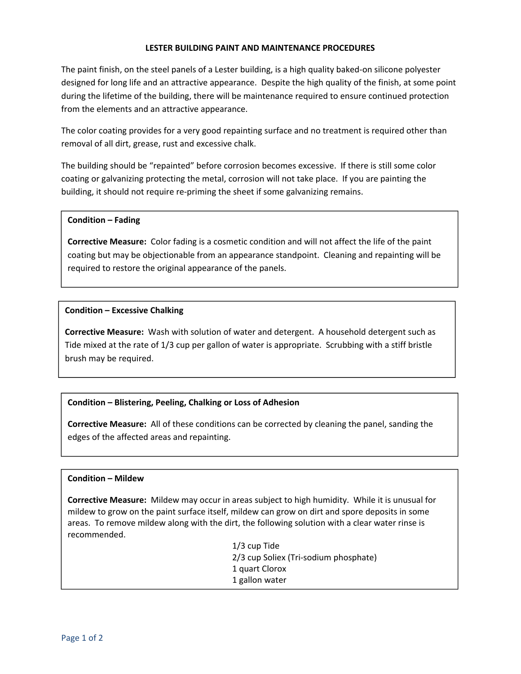#### **LESTER BUILDING PAINT AND MAINTENANCE PROCEDURES**

The paint finish, on the steel panels of a Lester building, is a high quality baked‐on silicone polyester designed for long life and an attractive appearance. Despite the high quality of the finish, at some point during the lifetime of the building, there will be maintenance required to ensure continued protection from the elements and an attractive appearance.

The color coating provides for a very good repainting surface and no treatment is required other than removal of all dirt, grease, rust and excessive chalk.

The building should be "repainted" before corrosion becomes excessive. If there is still some color coating or galvanizing protecting the metal, corrosion will not take place. If you are painting the building, it should not require re‐priming the sheet if some galvanizing remains.

#### **Condition – Fading**

**Corrective Measure:** Color fading is a cosmetic condition and will not affect the life of the paint coating but may be objectionable from an appearance standpoint. Cleaning and repainting will be required to restore the original appearance of the panels.

## **Condition – Excessive Chalking**

**Corrective Measure:** Wash with solution of water and detergent. A household detergent such as Tide mixed at the rate of 1/3 cup per gallon of water is appropriate. Scrubbing with a stiff bristle brush may be required.

# **Condition – Blistering, Peeling, Chalking or Loss of Adhesion**

**Corrective Measure:** All of these conditions can be corrected by cleaning the panel, sanding the edges of the affected areas and repainting.

## **Condition – Mildew**

**Corrective Measure:** Mildew may occur in areas subject to high humidity. While it is unusual for mildew to grow on the paint surface itself, mildew can grow on dirt and spore deposits in some areas. To remove mildew along with the dirt, the following solution with a clear water rinse is recommended.

> 1/3 cup Tide 2/3 cup Soliex (Tri‐sodium phosphate) 1 quart Clorox 1 gallon water